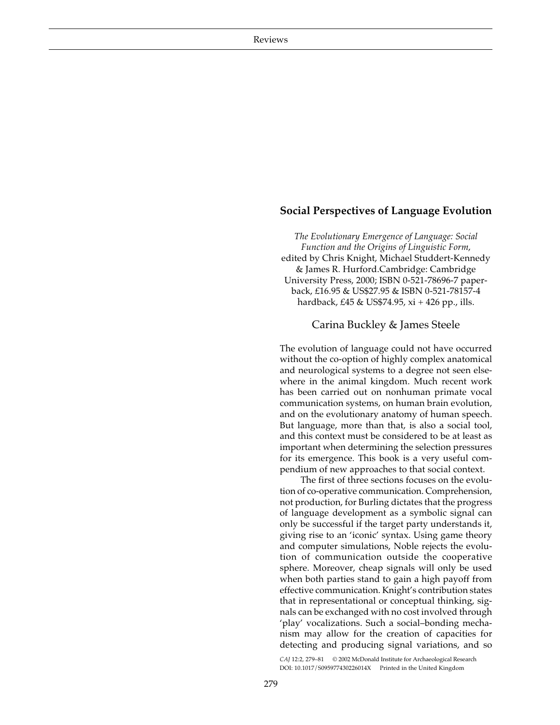## **Social Perspectives of Language Evolution**

*The Evolutionary Emergence of Language: Social Function and the Origins of Linguistic Form*, edited by Chris Knight, Michael Studdert-Kennedy & James R. Hurford.Cambridge: Cambridge University Press, 2000; ISBN 0-521-78696-7 paperback, £16.95 & US\$27.95 & ISBN 0-521-78157-4 hardback, £45 & US\$74.95, xi + 426 pp., ills.

## Carina Buckley & James Steele

The evolution of language could not have occurred without the co-option of highly complex anatomical and neurological systems to a degree not seen elsewhere in the animal kingdom. Much recent work has been carried out on nonhuman primate vocal communication systems, on human brain evolution, and on the evolutionary anatomy of human speech. But language, more than that, is also a social tool, and this context must be considered to be at least as important when determining the selection pressures for its emergence. This book is a very useful compendium of new approaches to that social context.

The first of three sections focuses on the evolution of co-operative communication. Comprehension, not production, for Burling dictates that the progress of language development as a symbolic signal can only be successful if the target party understands it, giving rise to an 'iconic' syntax. Using game theory and computer simulations, Noble rejects the evolution of communication outside the cooperative sphere. Moreover, cheap signals will only be used when both parties stand to gain a high payoff from effective communication. Knight's contribution states that in representational or conceptual thinking, signals can be exchanged with no cost involved through 'play' vocalizations. Such a social–bonding mechanism may allow for the creation of capacities for detecting and producing signal variations, and so

*CAJ* 12:2, 279–81 © 2002 McDonald Institute for Archaeological Research DOI: 10.1017/S095977430226014X Printed in the United Kingdom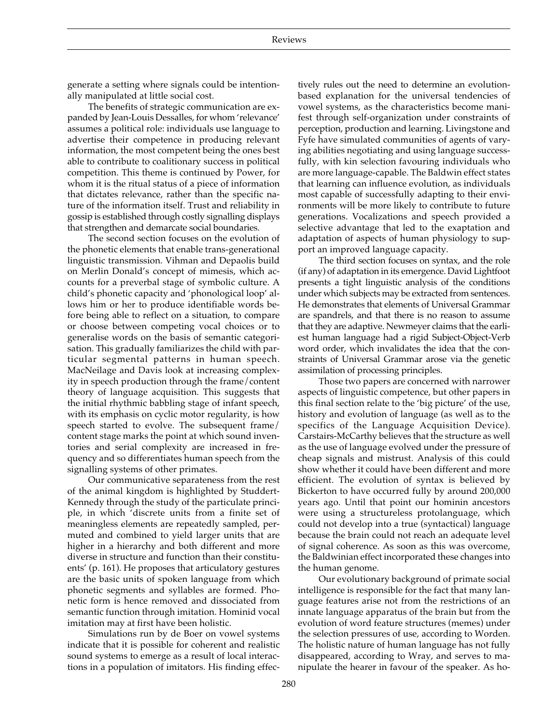generate a setting where signals could be intentionally manipulated at little social cost.

The benefits of strategic communication are expanded by Jean-Louis Dessalles, for whom 'relevance' assumes a political role: individuals use language to advertise their competence in producing relevant information, the most competent being the ones best able to contribute to coalitionary success in political competition. This theme is continued by Power, for whom it is the ritual status of a piece of information that dictates relevance, rather than the specific nature of the information itself. Trust and reliability in gossip is established through costly signalling displays that strengthen and demarcate social boundaries.

The second section focuses on the evolution of the phonetic elements that enable trans-generational linguistic transmission. Vihman and Depaolis build on Merlin Donald's concept of mimesis, which accounts for a preverbal stage of symbolic culture. A child's phonetic capacity and 'phonological loop' allows him or her to produce identifiable words before being able to reflect on a situation, to compare or choose between competing vocal choices or to generalise words on the basis of semantic categorisation. This gradually familiarizes the child with particular segmental patterns in human speech. MacNeilage and Davis look at increasing complexity in speech production through the frame/content theory of language acquisition. This suggests that the initial rhythmic babbling stage of infant speech, with its emphasis on cyclic motor regularity, is how speech started to evolve. The subsequent frame/ content stage marks the point at which sound inventories and serial complexity are increased in frequency and so differentiates human speech from the signalling systems of other primates.

Our communicative separateness from the rest of the animal kingdom is highlighted by Studdert-Kennedy through the study of the particulate principle, in which 'discrete units from a finite set of meaningless elements are repeatedly sampled, permuted and combined to yield larger units that are higher in a hierarchy and both different and more diverse in structure and function than their constituents' (p. 161). He proposes that articulatory gestures are the basic units of spoken language from which phonetic segments and syllables are formed. Phonetic form is hence removed and dissociated from semantic function through imitation. Hominid vocal imitation may at first have been holistic.

Simulations run by de Boer on vowel systems indicate that it is possible for coherent and realistic sound systems to emerge as a result of local interactions in a population of imitators. His finding effec-

tively rules out the need to determine an evolutionbased explanation for the universal tendencies of vowel systems, as the characteristics become manifest through self-organization under constraints of perception, production and learning. Livingstone and Fyfe have simulated communities of agents of varying abilities negotiating and using language successfully, with kin selection favouring individuals who are more language-capable. The Baldwin effect states that learning can influence evolution, as individuals most capable of successfully adapting to their environments will be more likely to contribute to future generations. Vocalizations and speech provided a selective advantage that led to the exaptation and adaptation of aspects of human physiology to support an improved language capacity.

The third section focuses on syntax, and the role (if any) of adaptation in its emergence. David Lightfoot presents a tight linguistic analysis of the conditions under which subjects may be extracted from sentences. He demonstrates that elements of Universal Grammar are spandrels, and that there is no reason to assume that they are adaptive. Newmeyer claims that the earliest human language had a rigid Subject-Object-Verb word order, which invalidates the idea that the constraints of Universal Grammar arose via the genetic assimilation of processing principles.

Those two papers are concerned with narrower aspects of linguistic competence, but other papers in this final section relate to the 'big picture' of the use, history and evolution of language (as well as to the specifics of the Language Acquisition Device). Carstairs-McCarthy believes that the structure as well as the use of language evolved under the pressure of cheap signals and mistrust. Analysis of this could show whether it could have been different and more efficient. The evolution of syntax is believed by Bickerton to have occurred fully by around 200,000 years ago. Until that point our hominin ancestors were using a structureless protolanguage, which could not develop into a true (syntactical) language because the brain could not reach an adequate level of signal coherence. As soon as this was overcome, the Baldwinian effect incorporated these changes into the human genome.

Our evolutionary background of primate social intelligence is responsible for the fact that many language features arise not from the restrictions of an innate language apparatus of the brain but from the evolution of word feature structures (memes) under the selection pressures of use, according to Worden. The holistic nature of human language has not fully disappeared, according to Wray, and serves to manipulate the hearer in favour of the speaker. As ho